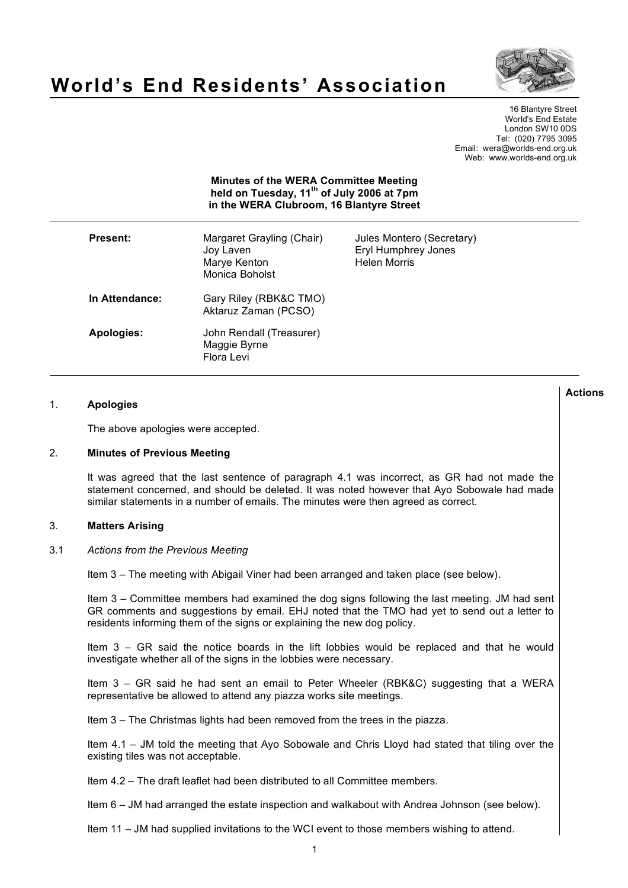

# **World's End Residents' Association**

16 Blantyre Street World's End Estate London SW10 0DS Tel: (020) 7795 3095 Email: wera@worlds-end.org.uk Web: www.worlds-end.org.uk

| <b>Minutes of the WERA Committee Meeting</b><br>held on Tuesday, 11 <sup>th</sup> of July 2006 at 7pm<br>in the WERA Clubroom, 16 Blantyre Street |                                                                          |                                                                         |
|---------------------------------------------------------------------------------------------------------------------------------------------------|--------------------------------------------------------------------------|-------------------------------------------------------------------------|
| <b>Present:</b>                                                                                                                                   | Margaret Grayling (Chair)<br>Joy Laven<br>Marye Kenton<br>Monica Boholst | Jules Montero (Secretary)<br>Eryl Humphrey Jones<br><b>Helen Morris</b> |
| In Attendance:                                                                                                                                    | Gary Riley (RBK&C TMO)<br>Aktaruz Zaman (PCSO)                           |                                                                         |
| Apologies:                                                                                                                                        | John Rendall (Treasurer)<br>Maggie Byrne<br>Flora Levi                   |                                                                         |

#### 1. **Apologies**

The above apologies were accepted.

#### 2. **Minutes of Previous Meeting**

It was agreed that the last sentence of paragraph 4.1 was incorrect, as GR had not made the statement concerned, and should be deleted. It was noted however that Ayo Sobowale had made similar statements in a number of emails. The minutes were then agreed as correct.

## 3. **Matters Arising**

#### 3.1 *Actions from the Previous Meeting*

Item 3 – The meeting with Abigail Viner had been arranged and taken place (see below).

Item 3 – Committee members had examined the dog signs following the last meeting. JM had sent GR comments and suggestions by email. EHJ noted that the TMO had yet to send out a letter to residents informing them of the signs or explaining the new dog policy.

Item 3 – GR said the notice boards in the lift lobbies would be replaced and that he would investigate whether all of the signs in the lobbies were necessary.

Item 3 – GR said he had sent an email to Peter Wheeler (RBK&C) suggesting that a WERA representative be allowed to attend any piazza works site meetings.

Item 3 – The Christmas lights had been removed from the trees in the piazza.

Item 4.1 – JM told the meeting that Ayo Sobowale and Chris Lloyd had stated that tiling over the existing tiles was not acceptable.

Item 4.2 – The draft leaflet had been distributed to all Committee members.

Item 6 – JM had arranged the estate inspection and walkabout with Andrea Johnson (see below).

Item 11 – JM had supplied invitations to the WCI event to those members wishing to attend.

**Actions**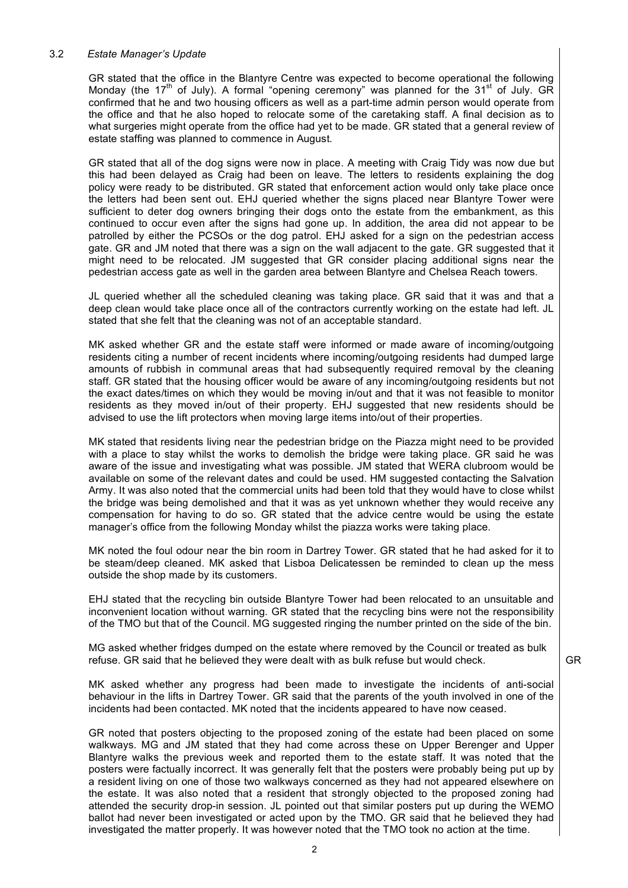## 3.2 *Estate Manager's Update*

GR stated that the office in the Blantyre Centre was expected to become operational the following Monday (the 17<sup>th</sup> of July). A formal "opening ceremony" was planned for the 31<sup>st</sup> of July. GR confirmed that he and two housing officers as well as a part-time admin person would operate from the office and that he also hoped to relocate some of the caretaking staff. A final decision as to what surgeries might operate from the office had yet to be made. GR stated that a general review of estate staffing was planned to commence in August.

GR stated that all of the dog signs were now in place. A meeting with Craig Tidy was now due but this had been delayed as Craig had been on leave. The letters to residents explaining the dog policy were ready to be distributed. GR stated that enforcement action would only take place once the letters had been sent out. EHJ queried whether the signs placed near Blantyre Tower were sufficient to deter dog owners bringing their dogs onto the estate from the embankment, as this continued to occur even after the signs had gone up. In addition, the area did not appear to be patrolled by either the PCSOs or the dog patrol. EHJ asked for a sign on the pedestrian access gate. GR and JM noted that there was a sign on the wall adjacent to the gate. GR suggested that it might need to be relocated. JM suggested that GR consider placing additional signs near the pedestrian access gate as well in the garden area between Blantyre and Chelsea Reach towers.

JL queried whether all the scheduled cleaning was taking place. GR said that it was and that a deep clean would take place once all of the contractors currently working on the estate had left. JL stated that she felt that the cleaning was not of an acceptable standard.

MK asked whether GR and the estate staff were informed or made aware of incoming/outgoing residents citing a number of recent incidents where incoming/outgoing residents had dumped large amounts of rubbish in communal areas that had subsequently required removal by the cleaning staff. GR stated that the housing officer would be aware of any incoming/outgoing residents but not the exact dates/times on which they would be moving in/out and that it was not feasible to monitor residents as they moved in/out of their property. EHJ suggested that new residents should be advised to use the lift protectors when moving large items into/out of their properties.

MK stated that residents living near the pedestrian bridge on the Piazza might need to be provided with a place to stay whilst the works to demolish the bridge were taking place. GR said he was aware of the issue and investigating what was possible. JM stated that WERA clubroom would be available on some of the relevant dates and could be used. HM suggested contacting the Salvation Army. It was also noted that the commercial units had been told that they would have to close whilst the bridge was being demolished and that it was as yet unknown whether they would receive any compensation for having to do so. GR stated that the advice centre would be using the estate manager's office from the following Monday whilst the piazza works were taking place.

MK noted the foul odour near the bin room in Dartrey Tower. GR stated that he had asked for it to be steam/deep cleaned. MK asked that Lisboa Delicatessen be reminded to clean up the mess outside the shop made by its customers.

EHJ stated that the recycling bin outside Blantyre Tower had been relocated to an unsuitable and inconvenient location without warning. GR stated that the recycling bins were not the responsibility of the TMO but that of the Council. MG suggested ringing the number printed on the side of the bin.

MG asked whether fridges dumped on the estate where removed by the Council or treated as bulk refuse. GR said that he believed they were dealt with as bulk refuse but would check.

MK asked whether any progress had been made to investigate the incidents of anti-social behaviour in the lifts in Dartrey Tower. GR said that the parents of the youth involved in one of the incidents had been contacted. MK noted that the incidents appeared to have now ceased.

GR noted that posters objecting to the proposed zoning of the estate had been placed on some walkways. MG and JM stated that they had come across these on Upper Berenger and Upper Blantyre walks the previous week and reported them to the estate staff. It was noted that the posters were factually incorrect. It was generally felt that the posters were probably being put up by a resident living on one of those two walkways concerned as they had not appeared elsewhere on the estate. It was also noted that a resident that strongly objected to the proposed zoning had attended the security drop-in session. JL pointed out that similar posters put up during the WEMO ballot had never been investigated or acted upon by the TMO. GR said that he believed they had investigated the matter properly. It was however noted that the TMO took no action at the time.

GR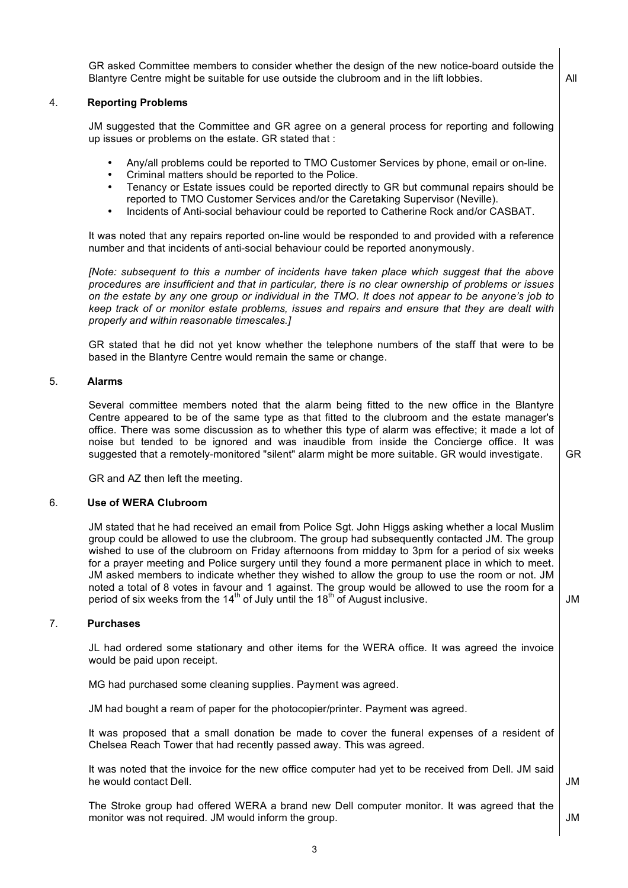GR asked Committee members to consider whether the design of the new notice-board outside the Blantyre Centre might be suitable for use outside the clubroom and in the lift lobbies.  $\vert$  All

## 4. **Reporting Problems**

JM suggested that the Committee and GR agree on a general process for reporting and following up issues or problems on the estate. GR stated that :

- Any/all problems could be reported to TMO Customer Services by phone, email or on-line.
- Criminal matters should be reported to the Police.
- Tenancy or Estate issues could be reported directly to GR but communal repairs should be reported to TMO Customer Services and/or the Caretaking Supervisor (Neville).
- Incidents of Anti-social behaviour could be reported to Catherine Rock and/or CASBAT.

It was noted that any repairs reported on-line would be responded to and provided with a reference number and that incidents of anti-social behaviour could be reported anonymously.

*[Note: subsequent to this a number of incidents have taken place which suggest that the above procedures are insufficient and that in particular, there is no clear ownership of problems or issues* on the estate by any one group or individual in the TMO. It does not appear to be anyone's job to *keep track of or monitor estate problems, issues and repairs and ensure that they are dealt with properly and within reasonable timescales.]*

GR stated that he did not yet know whether the telephone numbers of the staff that were to be based in the Blantyre Centre would remain the same or change.

#### 5. **Alarms**

Several committee members noted that the alarm being fitted to the new office in the Blantyre Centre appeared to be of the same type as that fitted to the clubroom and the estate manager's office. There was some discussion as to whether this type of alarm was effective; it made a lot of noise but tended to be ignored and was inaudible from inside the Concierge office. It was suggested that a remotely-monitored "silent" alarm might be more suitable. GR would investigate.

GR and AZ then left the meeting.

## 6. **Use of WERA Clubroom**

JM stated that he had received an email from Police Sgt. John Higgs asking whether a local Muslim group could be allowed to use the clubroom. The group had subsequently contacted JM. The group wished to use of the clubroom on Friday afternoons from midday to 3pm for a period of six weeks for a prayer meeting and Police surgery until they found a more permanent place in which to meet. JM asked members to indicate whether they wished to allow the group to use the room or not. JM noted a total of 8 votes in favour and 1 against. The group would be allowed to use the room for a period of six weeks from the 14<sup>th</sup> of July until the 18<sup>th</sup> of August inclusive.  $\vert$  JM

#### 7. **Purchases**

JL had ordered some stationary and other items for the WERA office. It was agreed the invoice would be paid upon receipt.

MG had purchased some cleaning supplies. Payment was agreed.

JM had bought a ream of paper for the photocopier/printer. Payment was agreed.

It was proposed that a small donation be made to cover the funeral expenses of a resident of Chelsea Reach Tower that had recently passed away. This was agreed.

It was noted that the invoice for the new office computer had yet to be received from Dell. JM said he would contact Dell.

The Stroke group had offered WERA a brand new Dell computer monitor. It was agreed that the monitor was not required. JM would inform the group. JM

GR

JM